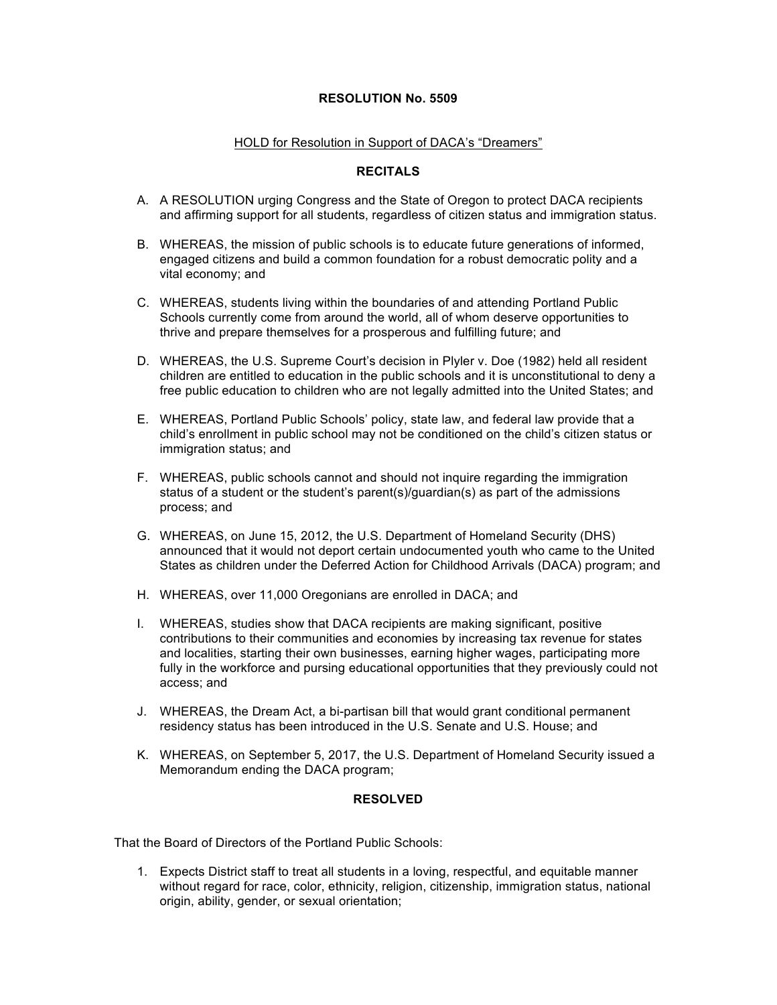## **RESOLUTION No. 5509**

## HOLD for Resolution in Support of DACA's "Dreamers"

## **RECITALS**

- A. A RESOLUTION urging Congress and the State of Oregon to protect DACA recipients and affirming support for all students, regardless of citizen status and immigration status.
- B. WHEREAS, the mission of public schools is to educate future generations of informed, engaged citizens and build a common foundation for a robust democratic polity and a vital economy; and
- C. WHEREAS, students living within the boundaries of and attending Portland Public Schools currently come from around the world, all of whom deserve opportunities to thrive and prepare themselves for a prosperous and fulfilling future; and
- D. WHEREAS, the U.S. Supreme Court's decision in Plyler v. Doe (1982) held all resident children are entitled to education in the public schools and it is unconstitutional to deny a free public education to children who are not legally admitted into the United States; and
- E. WHEREAS, Portland Public Schools' policy, state law, and federal law provide that a child's enrollment in public school may not be conditioned on the child's citizen status or immigration status; and
- F. WHEREAS, public schools cannot and should not inquire regarding the immigration status of a student or the student's parent(s)/guardian(s) as part of the admissions process; and
- G. WHEREAS, on June 15, 2012, the U.S. Department of Homeland Security (DHS) announced that it would not deport certain undocumented youth who came to the United States as children under the Deferred Action for Childhood Arrivals (DACA) program; and
- H. WHEREAS, over 11,000 Oregonians are enrolled in DACA; and
- I. WHEREAS, studies show that DACA recipients are making significant, positive contributions to their communities and economies by increasing tax revenue for states and localities, starting their own businesses, earning higher wages, participating more fully in the workforce and pursing educational opportunities that they previously could not access; and
- J. WHEREAS, the Dream Act, a bi-partisan bill that would grant conditional permanent residency status has been introduced in the U.S. Senate and U.S. House; and
- K. WHEREAS, on September 5, 2017, the U.S. Department of Homeland Security issued a Memorandum ending the DACA program;

## **RESOLVED**

That the Board of Directors of the Portland Public Schools:

1. Expects District staff to treat all students in a loving, respectful, and equitable manner without regard for race, color, ethnicity, religion, citizenship, immigration status, national origin, ability, gender, or sexual orientation;